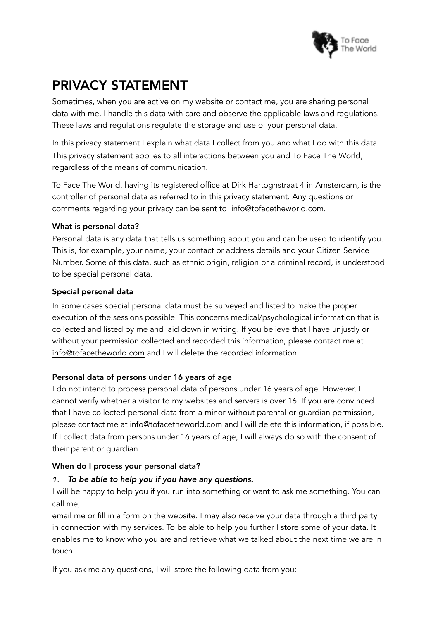

# PRIVACY STATEMENT

Sometimes, when you are active on my website or contact me, you are sharing personal data with me. I handle this data with care and observe the applicable laws and regulations. These laws and regulations regulate the storage and use of your personal data.

In this privacy statement I explain what data I collect from you and what I do with this data. This privacy statement applies to all interactions between you and To Face The World, regardless of the means of communication.

To Face The World, having its registered office at Dirk Hartoghstraat 4 in Amsterdam, is the controller of personal data as referred to in this privacy statement. Any questions or comments regarding your privacy can be sent to [info@tofacetheworld.com.](mailto:info@tofacetheworld.com)

# What is personal data?

Personal data is any data that tells us something about you and can be used to identify you. This is, for example, your name, your contact or address details and your Citizen Service Number. Some of this data, such as ethnic origin, religion or a criminal record, is understood to be special personal data.

# Special personal data

In some cases special personal data must be surveyed and listed to make the proper execution of the sessions possible. This concerns medical/psychological information that is collected and listed by me and laid down in writing. If you believe that I have unjustly or without your permission collected and recorded this information, please contact me at [info@tofacetheworld.com](mailto:info@tofacetheworld.com) and I will delete the recorded information.

# Personal data of persons under 16 years of age

I do not intend to process personal data of persons under 16 years of age. However, I cannot verify whether a visitor to my websites and servers is over 16. If you are convinced that I have collected personal data from a minor without parental or guardian permission, please contact me at [info@tofacetheworld.com](mailto:info@tofacetheworld.com) and I will delete this information, if possible. If I collect data from persons under 16 years of age, I will always do so with the consent of their parent or guardian.

# When do I process your personal data?

# *1. To be able to help you if you have any questions.*

I will be happy to help you if you run into something or want to ask me something. You can call me,

email me or fill in a form on the website. I may also receive your data through a third party in connection with my services. To be able to help you further I store some of your data. It enables me to know who you are and retrieve what we talked about the next time we are in touch.

If you ask me any questions, I will store the following data from you: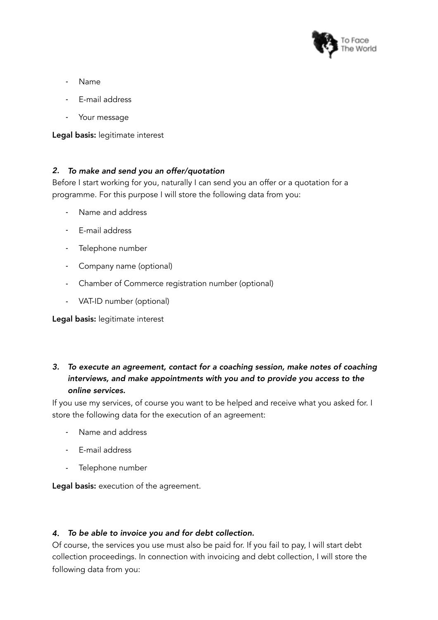

- Name
- E-mail address
- Your message

Legal basis: legitimate interest

#### *2. To make and send you an offer/quotation*

Before I start working for you, naturally I can send you an offer or a quotation for a programme. For this purpose I will store the following data from you:

- Name and address
- E-mail address
- Telephone number
- Company name (optional)
- Chamber of Commerce registration number (optional)
- VAT-ID number (optional)

Legal basis: legitimate interest

# *3. To execute an agreement, contact for a coaching session, make notes of coaching interviews, and make appointments with you and to provide you access to the online services.*

If you use my services, of course you want to be helped and receive what you asked for. I store the following data for the execution of an agreement:

- Name and address
- E-mail address
- Telephone number

Legal basis: execution of the agreement.

#### *4. To be able to invoice you and for debt collection.*

Of course, the services you use must also be paid for. If you fail to pay, I will start debt collection proceedings. In connection with invoicing and debt collection, I will store the following data from you: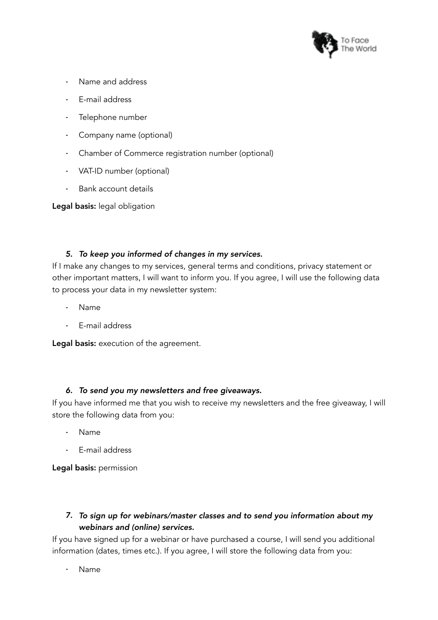

- Name and address
- E-mail address
- Telephone number
- Company name (optional)
- Chamber of Commerce registration number (optional)
- VAT-ID number (optional)
- Bank account details

Legal basis: legal obligation

# *5. To keep you informed of changes in my services.*

If I make any changes to my services, general terms and conditions, privacy statement or other important matters, I will want to inform you. If you agree, I will use the following data to process your data in my newsletter system:

- Name
- E-mail address

Legal basis: execution of the agreement.

# *6. To send you my newsletters and free giveaways.*

If you have informed me that you wish to receive my newsletters and the free giveaway, I will store the following data from you:

- Name
- E-mail address

Legal basis: permission

# *7. To sign up for webinars/master classes and to send you information about my webinars and (online) services.*

If you have signed up for a webinar or have purchased a course, I will send you additional information (dates, times etc.). If you agree, I will store the following data from you:

- Name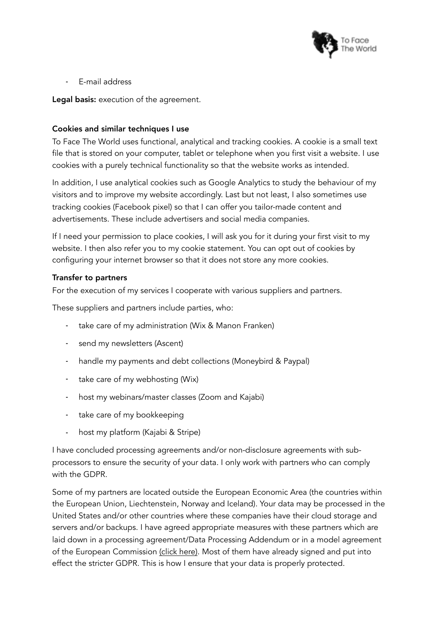

- E-mail address

Legal basis: execution of the agreement.

#### Cookies and similar techniques I use

To Face The World uses functional, analytical and tracking cookies. A cookie is a small text file that is stored on your computer, tablet or telephone when you first visit a website. I use cookies with a purely technical functionality so that the website works as intended.

In addition, I use analytical cookies such as Google Analytics to study the behaviour of my visitors and to improve my website accordingly. Last but not least, I also sometimes use tracking cookies (Facebook pixel) so that I can offer you tailor-made content and advertisements. These include advertisers and social media companies.

If I need your permission to place cookies, I will ask you for it during your first visit to my website. I then also refer you to my cookie statement. You can opt out of cookies by configuring your internet browser so that it does not store any more cookies.

#### Transfer to partners

For the execution of my services I cooperate with various suppliers and partners.

These suppliers and partners include parties, who:

- take care of my administration (Wix & Manon Franken)
- send my newsletters (Ascent)
- handle my payments and debt collections (Moneybird & Paypal)
- take care of my webhosting (Wix)
- host my webinars/master classes (Zoom and Kajabi)
- take care of my bookkeeping
- host my platform (Kajabi & Stripe)

I have concluded processing agreements and/or non-disclosure agreements with subprocessors to ensure the security of your data. I only work with partners who can comply with the GDPR.

Some of my partners are located outside the European Economic Area (the countries within the European Union, Liechtenstein, Norway and Iceland). Your data may be processed in the United States and/or other countries where these companies have their cloud storage and servers and/or backups. I have agreed appropriate measures with these partners which are laid down in a processing agreement/Data Processing Addendum or in a model agreement of the European Commission [\(click here\)](https://eur-lex.europa.eu/legal-content/en/TXT/?uri=CELEX%253A32010D0087). Most of them have already signed and put into effect the stricter GDPR. This is how I ensure that your data is properly protected.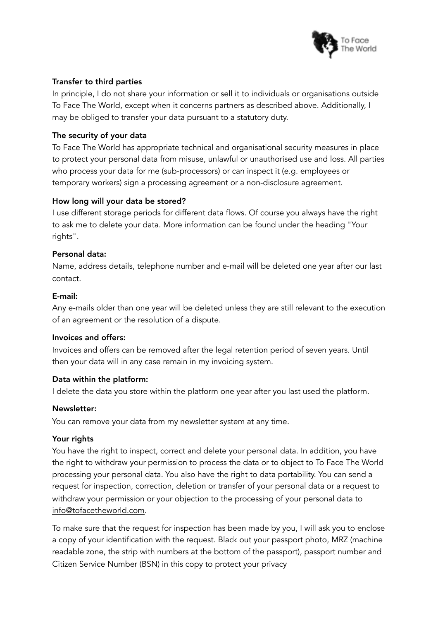

## Transfer to third parties

In principle, I do not share your information or sell it to individuals or organisations outside To Face The World, except when it concerns partners as described above. Additionally, I may be obliged to transfer your data pursuant to a statutory duty.

## The security of your data

To Face The World has appropriate technical and organisational security measures in place to protect your personal data from misuse, unlawful or unauthorised use and loss. All parties who process your data for me (sub-processors) or can inspect it (e.g. employees or temporary workers) sign a processing agreement or a non-disclosure agreement.

#### How long will your data be stored?

I use different storage periods for different data flows. Of course you always have the right to ask me to delete your data. More information can be found under the heading "Your rights".

#### Personal data:

Name, address details, telephone number and e-mail will be deleted one year after our last contact.

#### E-mail:

Any e-mails older than one year will be deleted unless they are still relevant to the execution of an agreement or the resolution of a dispute.

#### Invoices and offers:

Invoices and offers can be removed after the legal retention period of seven years. Until then your data will in any case remain in my invoicing system.

#### Data within the platform:

I delete the data you store within the platform one year after you last used the platform.

#### Newsletter:

You can remove your data from my newsletter system at any time.

# Your rights

You have the right to inspect, correct and delete your personal data. In addition, you have the right to withdraw your permission to process the data or to object to To Face The World processing your personal data. You also have the right to data portability. You can send a request for inspection, correction, deletion or transfer of your personal data or a request to withdraw your permission or your objection to the processing of your personal data to [info@tofacetheworld.com](mailto:info@tofacetheworld.com).

To make sure that the request for inspection has been made by you, I will ask you to enclose a copy of your identification with the request. Black out your passport photo, MRZ (machine readable zone, the strip with numbers at the bottom of the passport), passport number and Citizen Service Number (BSN) in this copy to protect your privacy